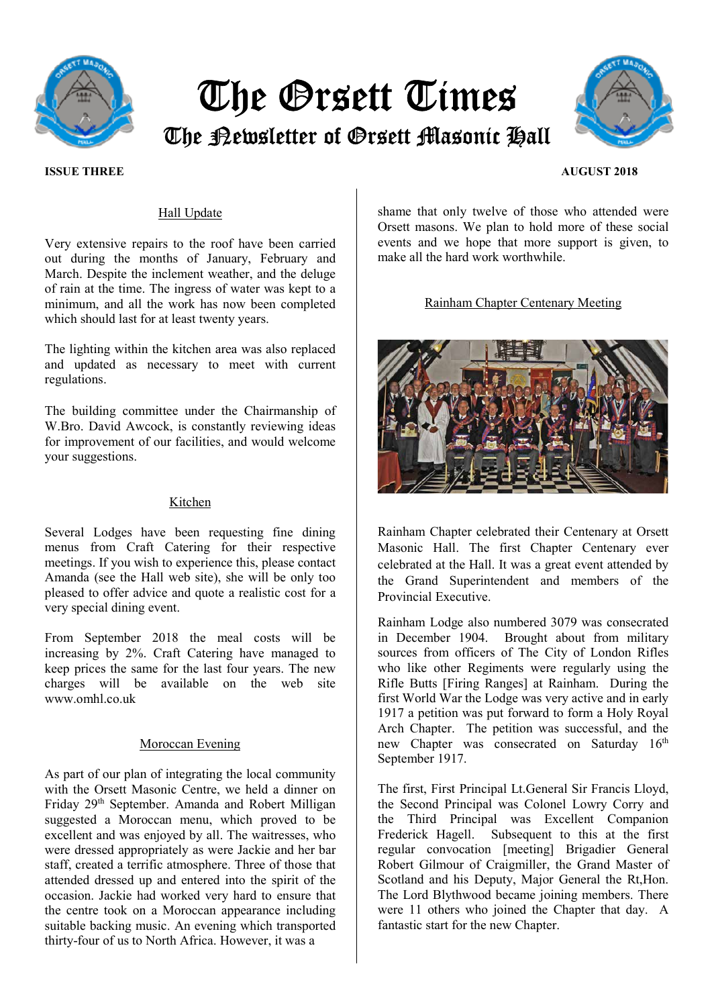

# The Orsett Times The Newsletter of Orsett Masonic Hall



## **ISSUE THREE AUGUST 2018**

# Hall Update

Very extensive repairs to the roof have been carried out during the months of January, February and March. Despite the inclement weather, and the deluge of rain at the time. The ingress of water was kept to a minimum, and all the work has now been completed which should last for at least twenty years.

The lighting within the kitchen area was also replaced and updated as necessary to meet with current regulations.

The building committee under the Chairmanship of W.Bro. David Awcock, is constantly reviewing ideas for improvement of our facilities, and would welcome your suggestions.

#### Kitchen

Several Lodges have been requesting fine dining menus from Craft Catering for their respective meetings. If you wish to experience this, please contact Amanda (see the Hall web site), she will be only too pleased to offer advice and quote a realistic cost for a very special dining event.

From September 2018 the meal costs will be increasing by 2%. Craft Catering have managed to keep prices the same for the last four years. The new charges will be available on the web site www.omhl.co.uk

# Moroccan Evening

As part of our plan of integrating the local community with the Orsett Masonic Centre, we held a dinner on Friday 29th September. Amanda and Robert Milligan suggested a Moroccan menu, which proved to be excellent and was enjoyed by all. The waitresses, who were dressed appropriately as were Jackie and her bar staff, created a terrific atmosphere. Three of those that attended dressed up and entered into the spirit of the occasion. Jackie had worked very hard to ensure that the centre took on a Moroccan appearance including suitable backing music. An evening which transported thirty-four of us to North Africa. However, it was a

shame that only twelve of those who attended were Orsett masons. We plan to hold more of these social events and we hope that more support is given, to make all the hard work worthwhile.

Rainham Chapter Centenary Meeting



Rainham Chapter celebrated their Centenary at Orsett Masonic Hall. The first Chapter Centenary ever celebrated at the Hall. It was a great event attended by the Grand Superintendent and members of the Provincial Executive.

Rainham Lodge also numbered 3079 was consecrated in December 1904. Brought about from military sources from officers of The City of London Rifles who like other Regiments were regularly using the Rifle Butts [Firing Ranges] at Rainham. During the first World War the Lodge was very active and in early 1917 a petition was put forward to form a Holy Royal Arch Chapter. The petition was successful, and the new Chapter was consecrated on Saturday 16<sup>th</sup> September 1917.

The first, First Principal Lt.General Sir Francis Lloyd, the Second Principal was Colonel Lowry Corry and the Third Principal was Excellent Companion Frederick Hagell. Subsequent to this at the first regular convocation [meeting] Brigadier General Robert Gilmour of Craigmiller, the Grand Master of Scotland and his Deputy, Major General the Rt,Hon. The Lord Blythwood became joining members. There were 11 others who joined the Chapter that day. A fantastic start for the new Chapter.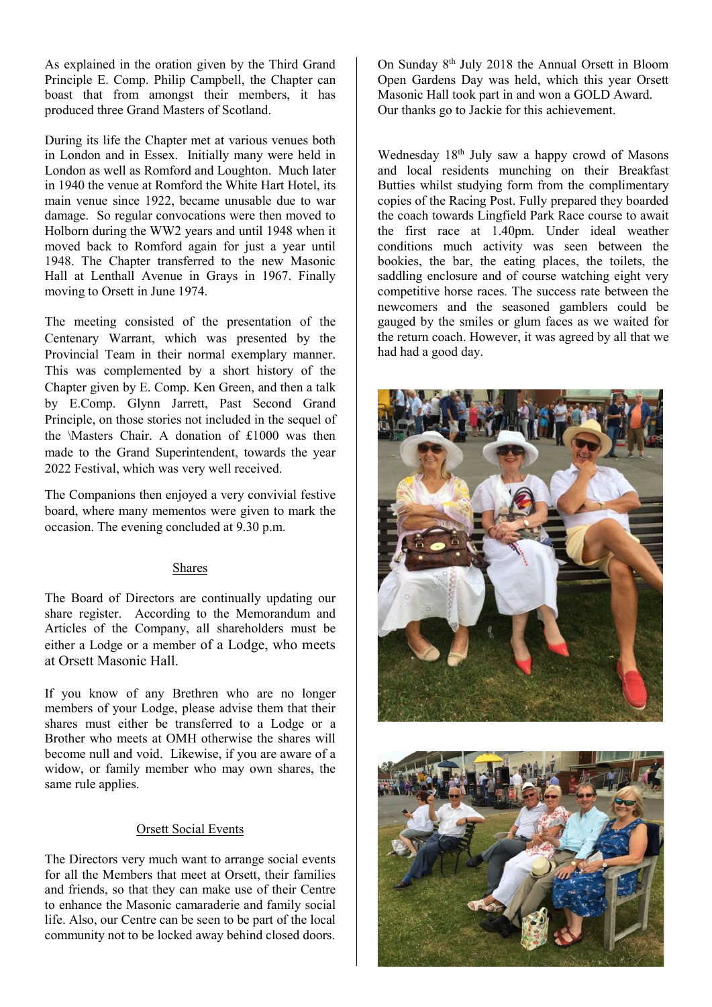As explained in the oration given by the Third Grand Principle E. Comp. Philip Campbell, the Chapter can boast that from amongst their members, it has produced three Grand Masters of Scotland.

During its life the Chapter met at various venues both in London and in Essex. Initially many were held in London as well as Romford and Loughton. Much later in 1940 the venue at Romford the White Hart Hotel, its main venue since 1922, became unusable due to war damage. So regular convocations were then moved to Holborn during the WW2 years and until 1948 when it moved back to Romford again for just a year until 1948. The Chapter transferred to the new Masonic Hall at Lenthall Avenue in Grays in 1967. Finally moving to Orsett in June 1974.

The meeting consisted of the presentation of the Centenary Warrant, which was presented by the Provincial Team in their normal exemplary manner. This was complemented by a short history of the Chapter given by E. Comp. Ken Green, and then a talk by E.Comp. Glynn Jarrett, Past Second Grand Principle, on those stories not included in the sequel of the \Masters Chair. A donation of £1000 was then made to the Grand Superintendent, towards the year 2022 Festival, which was very well received.

The Companions then enjoyed a very convivial festive board, where many mementos were given to mark the occasion. The evening concluded at 9.30 p.m.

# Shares

The Board of Directors are continually updating our share register. According to the Memorandum and Articles of the Company, all shareholders must be either a Lodge or a member of a Lodge, who meets at Orsett Masonic Hall.

If you know of any Brethren who are no longer members of your Lodge, please advise them that their shares must either be transferred to a Lodge or a Brother who meets at OMH otherwise the shares will become null and void. Likewise, if you are aware of a widow, or family member who may own shares, the same rule applies.

## Orsett Social Events

The Directors very much want to arrange social events for all the Members that meet at Orsett, their families and friends, so that they can make use of their Centre to enhance the Masonic camaraderie and family social life. Also, our Centre can be seen to be part of the local community not to be locked away behind closed doors.

On Sunday 8th July 2018 the Annual Orsett in Bloom Open Gardens Day was held, which this year Orsett Masonic Hall took part in and won a GOLD Award. Our thanks go to Jackie for this achievement.

Wednesday 18<sup>th</sup> July saw a happy crowd of Masons and local residents munching on their Breakfast Butties whilst studying form from the complimentary copies of the Racing Post. Fully prepared they boarded the coach towards Lingfield Park Race course to await the first race at 1.40pm. Under ideal weather conditions much activity was seen between the bookies, the bar, the eating places, the toilets, the saddling enclosure and of course watching eight very competitive horse races. The success rate between the newcomers and the seasoned gamblers could be gauged by the smiles or glum faces as we waited for the return coach. However, it was agreed by all that we had had a good day.



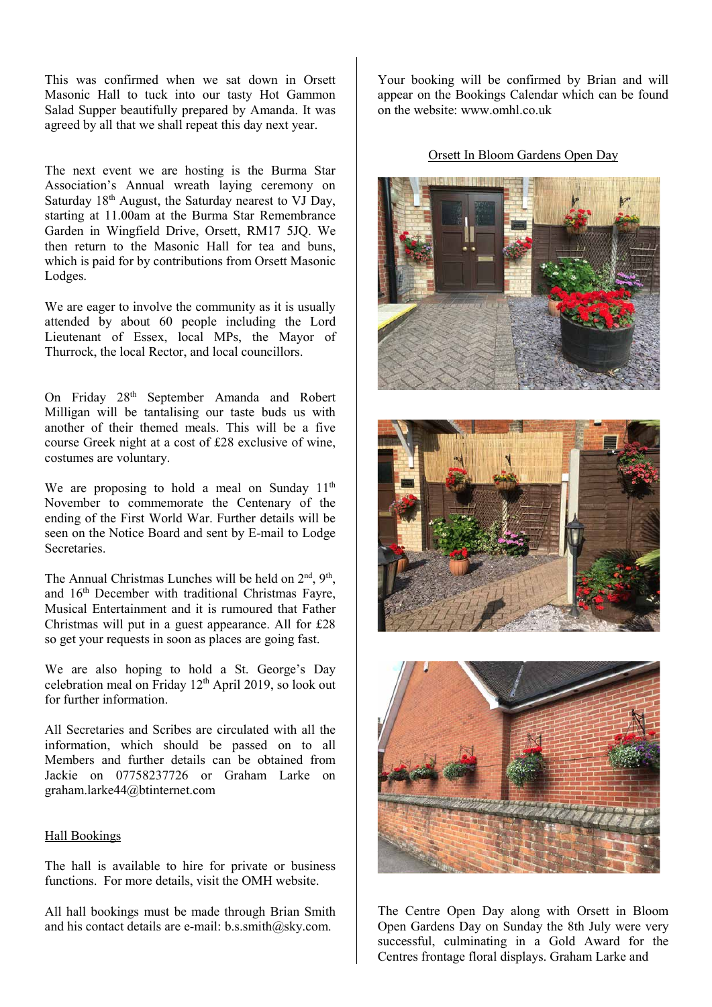This was confirmed when we sat down in Orsett Masonic Hall to tuck into our tasty Hot Gammon Salad Supper beautifully prepared by Amanda. It was agreed by all that we shall repeat this day next year.

The next event we are hosting is the Burma Star Association's Annual wreath laying ceremony on Saturday  $18<sup>th</sup>$  August, the Saturday nearest to VJ Day, starting at 11.00am at the Burma Star Remembrance Garden in Wingfield Drive, Orsett, RM17 5JQ. We then return to the Masonic Hall for tea and buns, which is paid for by contributions from Orsett Masonic Lodges.

We are eager to involve the community as it is usually attended by about 60 people including the Lord Lieutenant of Essex, local MPs, the Mayor of Thurrock, the local Rector, and local councillors.

On Friday 28<sup>th</sup> September Amanda and Robert Milligan will be tantalising our taste buds us with another of their themed meals. This will be a five course Greek night at a cost of £28 exclusive of wine, costumes are voluntary.

We are proposing to hold a meal on Sunday  $11<sup>th</sup>$ November to commemorate the Centenary of the ending of the First World War. Further details will be seen on the Notice Board and sent by E-mail to Lodge **Secretaries** 

The Annual Christmas Lunches will be held on  $2<sup>nd</sup>$ ,  $9<sup>th</sup>$ , and 16<sup>th</sup> December with traditional Christmas Fayre, Musical Entertainment and it is rumoured that Father Christmas will put in a guest appearance. All for £28 so get your requests in soon as places are going fast.

We are also hoping to hold a St. George's Day celebration meal on Friday 12th April 2019, so look out for further information.

All Secretaries and Scribes are circulated with all the information, which should be passed on to all Members and further details can be obtained from Jackie on 07758237726 or Graham Larke on graham.larke44@btinternet.com

#### Hall Bookings

The hall is available to hire for private or business functions. For more details, visit the OMH website.

All hall bookings must be made through Brian Smith and his contact details are e-mail: b.s.smith@sky.com.

Your booking will be confirmed by Brian and will appear on the Bookings Calendar which can be found on the website: www.omhl.co.uk

# Orsett In Bloom Gardens Open Day







The Centre Open Day along with Orsett in Bloom Open Gardens Day on Sunday the 8th July were very successful, culminating in a Gold Award for the Centres frontage floral displays. Graham Larke and